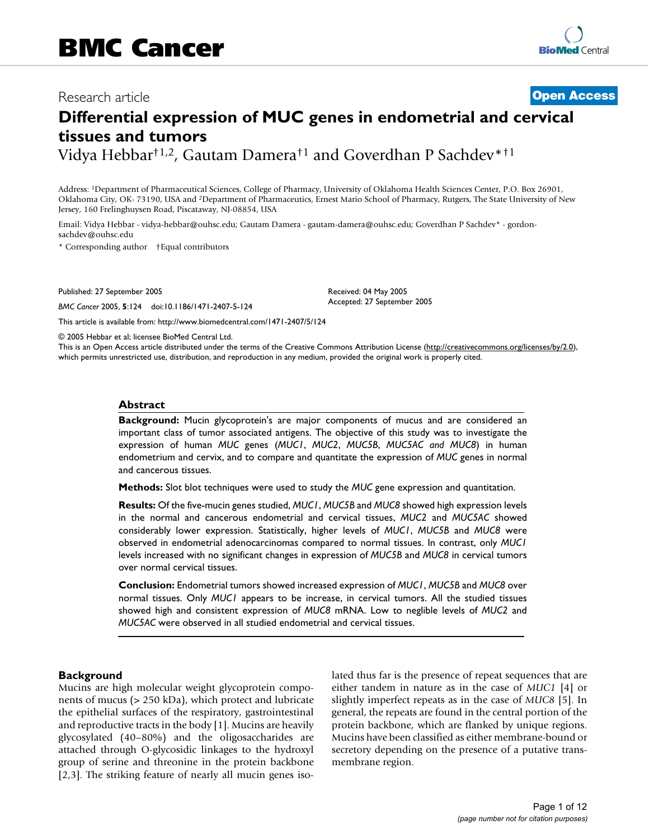# Research article **[Open Access](http://www.biomedcentral.com/info/about/charter/)**

# **Differential expression of MUC genes in endometrial and cervical tissues and tumors**

Vidya Hebbar†1,2, Gautam Damera†1 and Goverdhan P Sachdev\*†1

Address: 1Department of Pharmaceutical Sciences, College of Pharmacy, University of Oklahoma Health Sciences Center, P.O. Box 26901, Oklahoma City, OK- 73190, USA and 2Department of Pharmaceutics, Ernest Mario School of Pharmacy, Rutgers, The State University of New Jersey, 160 Frelinghuysen Road, Piscataway, NJ-08854, USA

Email: Vidya Hebbar - vidya-hebbar@ouhsc.edu; Gautam Damera - gautam-damera@ouhsc.edu; Goverdhan P Sachdev\* - gordonsachdev@ouhsc.edu

\* Corresponding author †Equal contributors

Published: 27 September 2005

*BMC Cancer* 2005, **5**:124 doi:10.1186/1471-2407-5-124

[This article is available from: http://www.biomedcentral.com/1471-2407/5/124](http://www.biomedcentral.com/1471-2407/5/124)

© 2005 Hebbar et al; licensee BioMed Central Ltd.

This is an Open Access article distributed under the terms of the Creative Commons Attribution License [\(http://creativecommons.org/licenses/by/2.0\)](http://creativecommons.org/licenses/by/2.0), which permits unrestricted use, distribution, and reproduction in any medium, provided the original work is properly cited.

Received: 04 May 2005 Accepted: 27 September 2005

# **Abstract**

**Background:** Mucin glycoprotein's are major components of mucus and are considered an important class of tumor associated antigens. The objective of this study was to investigate the expression of human *MUC* genes (*MUC1*, *MUC2*, *MUC5B*, *MUC5AC and MUC8*) in human endometrium and cervix, and to compare and quantitate the expression of *MUC* genes in normal and cancerous tissues.

**Methods:** Slot blot techniques were used to study the *MUC* gene expression and quantitation.

**Results:** Of the five-mucin genes studied, *MUC1*, *MUC5B* and *MUC8* showed high expression levels in the normal and cancerous endometrial and cervical tissues, *MUC2* and *MUC5AC* showed considerably lower expression. Statistically, higher levels of *MUC1*, *MUC5B* and *MUC8* were observed in endometrial adenocarcinomas compared to normal tissues. In contrast, only *MUC1* levels increased with no significant changes in expression of *MUC5B* and *MUC8* in cervical tumors over normal cervical tissues.

**Conclusion:** Endometrial tumors showed increased expression of *MUC1*, *MUC5B* and *MUC8* over normal tissues. Only *MUC1* appears to be increase, in cervical tumors. All the studied tissues showed high and consistent expression of *MUC8* mRNA. Low to neglible levels of *MUC2* and *MUC5AC* were observed in all studied endometrial and cervical tissues.

# **Background**

Mucins are high molecular weight glycoprotein components of mucus (> 250 kDa), which protect and lubricate the epithelial surfaces of the respiratory, gastrointestinal and reproductive tracts in the body [1]. Mucins are heavily glycosylated (40–80%) and the oligosaccharides are attached through O-glycosidic linkages to the hydroxyl group of serine and threonine in the protein backbone [2,3]. The striking feature of nearly all mucin genes isolated thus far is the presence of repeat sequences that are either tandem in nature as in the case of *MUC1* [4] or slightly imperfect repeats as in the case of *MUC8* [5]. In general, the repeats are found in the central portion of the protein backbone, which are flanked by unique regions. Mucins have been classified as either membrane-bound or secretory depending on the presence of a putative transmembrane region.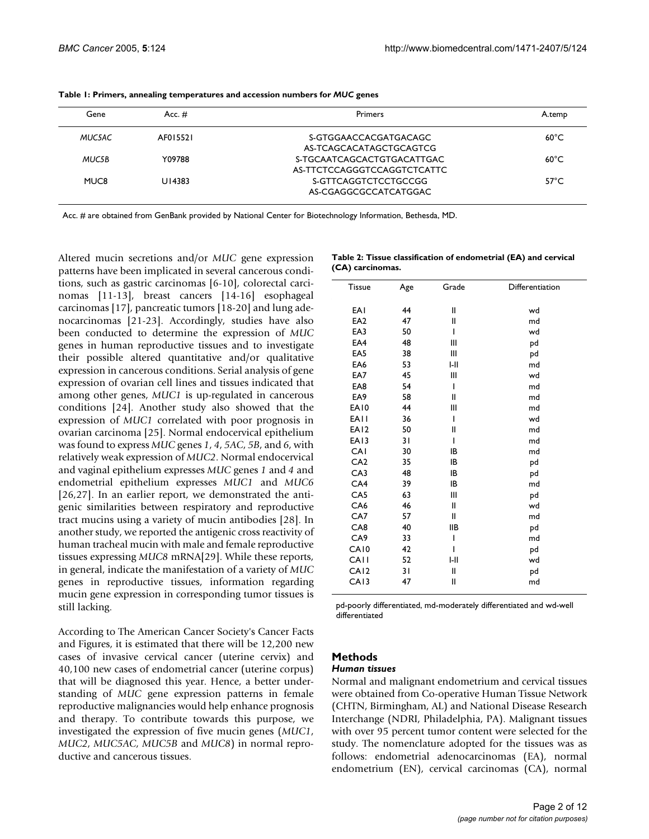| Gene   | Acc. $#$ | Primers                     | A.temp          |
|--------|----------|-----------------------------|-----------------|
| MUC5AC | AF015521 | S-GTGGAACCACGATGACAGC       | $60^{\circ}$ C  |
|        |          | AS-TCAGCACATAGCTGCAGTCG     |                 |
| MUC5B  | Y09788   | S-TGCAATCAGCACTGTGACATTGAC  | $60^{\circ}$ C  |
|        |          | AS-TTCTCCAGGGTCCAGGTCTCATTC |                 |
| MUC8   | U14383   | S-GTTCAGGTCTCCTGCCGG        | $57^{\circ}$ C. |
|        |          | AS-CGAGGCGCCATCATGGAC       |                 |
|        |          |                             |                 |

| Table 1: Primers, annealing temperatures and accession numbers for MUC genes |  |  |
|------------------------------------------------------------------------------|--|--|
|------------------------------------------------------------------------------|--|--|

Acc. # are obtained from GenBank provided by National Center for Biotechnology Information, Bethesda, MD.

Altered mucin secretions and/or *MUC* gene expression patterns have been implicated in several cancerous conditions, such as gastric carcinomas [6-10], colorectal carcinomas [11-13], breast cancers [14-16] esophageal carcinomas [17], pancreatic tumors [18-20] and lung adenocarcinomas [21-23]. Accordingly, studies have also been conducted to determine the expression of *MUC* genes in human reproductive tissues and to investigate their possible altered quantitative and/or qualitative expression in cancerous conditions. Serial analysis of gene expression of ovarian cell lines and tissues indicated that among other genes, *MUC1* is up-regulated in cancerous conditions [24]. Another study also showed that the expression of *MUC1* correlated with poor prognosis in ovarian carcinoma [25]. Normal endocervical epithelium was found to express *MUC* genes *1*, *4*, *5AC*, *5B*, and *6*, with relatively weak expression of *MUC2*. Normal endocervical and vaginal epithelium expresses *MUC* genes *1* and *4* and endometrial epithelium expresses *MUC1* and *MUC6* [26,27]. In an earlier report, we demonstrated the antigenic similarities between respiratory and reproductive tract mucins using a variety of mucin antibodies [28]. In another study, we reported the antigenic cross reactivity of human tracheal mucin with male and female reproductive tissues expressing *MUC8* mRNA[29]. While these reports, in general, indicate the manifestation of a variety of *MUC* genes in reproductive tissues, information regarding mucin gene expression in corresponding tumor tissues is still lacking.

According to The American Cancer Society's Cancer Facts and Figures, it is estimated that there will be 12,200 new cases of invasive cervical cancer (uterine cervix) and 40,100 new cases of endometrial cancer (uterine corpus) that will be diagnosed this year. Hence, a better understanding of *MUC* gene expression patterns in female reproductive malignancies would help enhance prognosis and therapy. To contribute towards this purpose, we investigated the expression of five mucin genes (*MUC1*, *MUC2*, *MUC5AC*, *MUC5B* and *MUC8*) in normal reproductive and cancerous tissues.

|                  | Table 2: Tissue classification of endometrial (EA) and cervical |
|------------------|-----------------------------------------------------------------|
| (CA) carcinomas. |                                                                 |

| <b>Tissue</b>    | Age | Grade        | Differentiation |
|------------------|-----|--------------|-----------------|
| EAI              | 44  | $\mathbf{I}$ | wd              |
| EA <sub>2</sub>  | 47  | $\mathbf{I}$ | md              |
| EA3              | 50  | I            | wd              |
| EA4              | 48  | Ш            | pd              |
| EA <sub>5</sub>  | 38  | Ш            | pd              |
| EA6              | 53  | $I-II$       | md              |
| EA7              | 45  | Ш            | wd              |
| EA8              | 54  | I            | md              |
| EA9              | 58  | $\mathbf{I}$ | md              |
| EA10             | 44  | Ш            | md              |
| <b>EAII</b>      | 36  | I            | wd              |
| EA <sub>12</sub> | 50  | $\mathbf{I}$ | md              |
| EA13             | 31  | I            | md              |
| CAI              | 30  | IB           | md              |
| CA <sub>2</sub>  | 35  | IB           | pd              |
| CA3              | 48  | IB           | pd              |
| CA4              | 39  | IB           | md              |
| CA <sub>5</sub>  | 63  | III          | pd              |
| CA6              | 46  | $\mathbf l$  | wd              |
| CA7              | 57  | Ш            | md              |
| CA8              | 40  | <b>IIB</b>   | pd              |
| CA <sub>9</sub>  | 33  | I            | md              |
| CA10             | 42  | ı            | pd              |
| <b>CAII</b>      | 52  | I-II         | wd              |
| CA <sub>12</sub> | 31  | $\mathbf{I}$ | pd              |
| CA13             | 47  | $\mathbf{I}$ | md              |
|                  |     |              |                 |

pd-poorly differentiated, md-moderately differentiated and wd-well differentiated

# **Methods**

# *Human tissues*

Normal and malignant endometrium and cervical tissues were obtained from Co-operative Human Tissue Network (CHTN, Birmingham, AL) and National Disease Research Interchange (NDRI, Philadelphia, PA). Malignant tissues with over 95 percent tumor content were selected for the study. The nomenclature adopted for the tissues was as follows: endometrial adenocarcinomas (EA), normal endometrium (EN), cervical carcinomas (CA), normal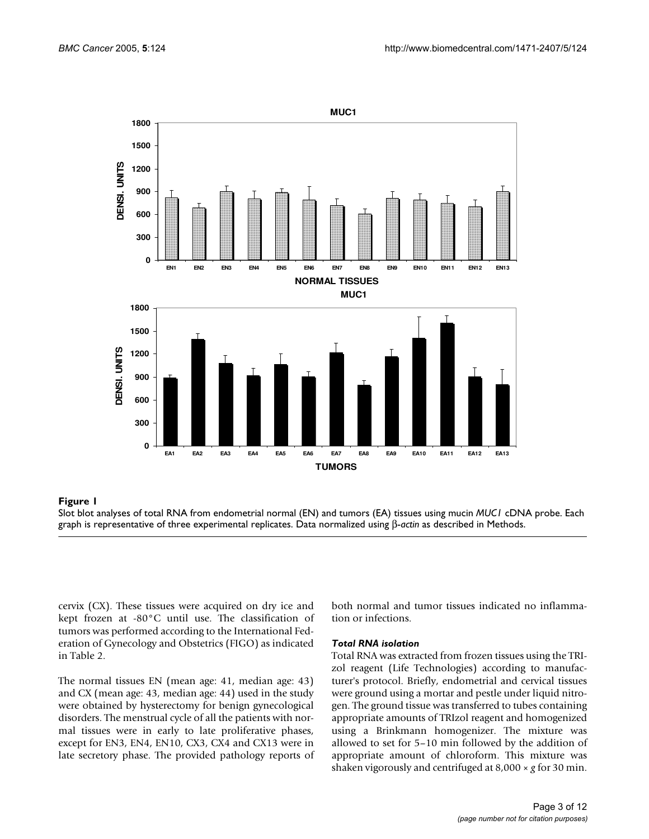

cervix (CX). These tissues were acquired on dry ice and kept frozen at -80°C until use. The classification of tumors was performed according to the International Federation of Gynecology and Obstetrics (FIGO) as indicated in Table 2.

The normal tissues EN (mean age: 41, median age: 43) and CX (mean age: 43, median age: 44) used in the study were obtained by hysterectomy for benign gynecological disorders. The menstrual cycle of all the patients with normal tissues were in early to late proliferative phases, except for EN3, EN4, EN10, CX3, CX4 and CX13 were in late secretory phase. The provided pathology reports of both normal and tumor tissues indicated no inflammation or infections.

### *Total RNA isolation*

Total RNA was extracted from frozen tissues using the TRIzol reagent (Life Technologies) according to manufacturer's protocol. Briefly, endometrial and cervical tissues were ground using a mortar and pestle under liquid nitrogen. The ground tissue was transferred to tubes containing appropriate amounts of TRIzol reagent and homogenized using a Brinkmann homogenizer. The mixture was allowed to set for 5–10 min followed by the addition of appropriate amount of chloroform. This mixture was shaken vigorously and centrifuged at 8,000 × *g* for 30 min.

Slot blot analyses of total RNA from endometrial normal (EN) and tumors (EA) tissues using mucin *MUC1* cDNA probe. Each graph is representative of three experimental replicates. Data normalized using β-*actin* as described in Methods.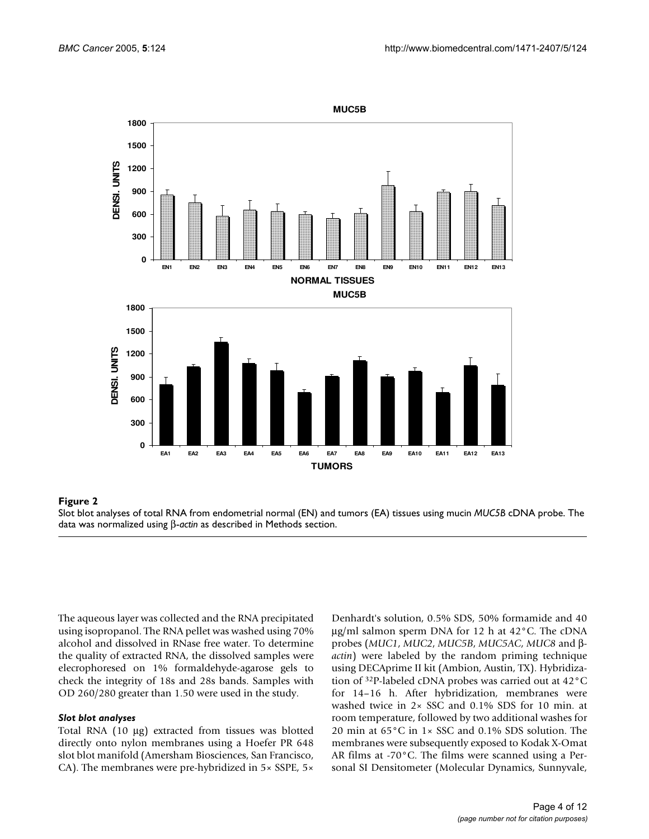

#### **Figure 2** Slot blot analyses of total RNA from endometrial normal (EN) and tumors (EA) tissues using mucin *MUC5B* cDNA probe

Slot blot analyses of total RNA from endometrial normal (EN) and tumors (EA) tissues using mucin *MUC5B* cDNA probe. The data was normalized using β-*actin* as described in Methods section.

The aqueous layer was collected and the RNA precipitated using isopropanol. The RNA pellet was washed using 70% alcohol and dissolved in RNase free water. To determine the quality of extracted RNA, the dissolved samples were elecrophoresed on 1% formaldehyde-agarose gels to check the integrity of 18s and 28s bands. Samples with OD 260/280 greater than 1.50 were used in the study.

#### *Slot blot analyses*

Total RNA (10 µg) extracted from tissues was blotted directly onto nylon membranes using a Hoefer PR 648 slot blot manifold (Amersham Biosciences, San Francisco, CA). The membranes were pre-hybridized in 5× SSPE, 5×

Denhardt's solution, 0.5% SDS, 50% formamide and 40 µg/ml salmon sperm DNA for 12 h at 42°C. The cDNA probes (*MUC1*, *MUC2*, *MUC5B*, *MUC5AC*, *MUC8* and β*actin*) were labeled by the random priming technique using DECAprime II kit (Ambion, Austin, TX). Hybridization of 32P-labeled cDNA probes was carried out at 42°C for 14–16 h. After hybridization, membranes were washed twice in 2× SSC and 0.1% SDS for 10 min. at room temperature, followed by two additional washes for 20 min at 65°C in 1× SSC and 0.1% SDS solution. The membranes were subsequently exposed to Kodak X-Omat AR films at -70°C. The films were scanned using a Personal SI Densitometer (Molecular Dynamics, Sunnyvale,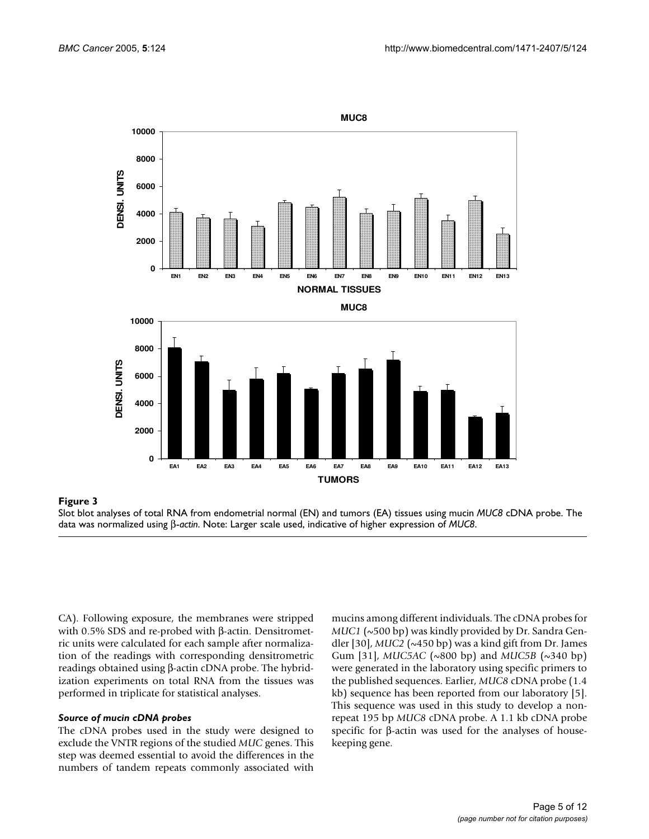

#### **Figure 3** Slot blot analyses of total RNA from endometrial normal (EN) and tumors (EA) tissues using mucin *MUC8* cDNA probe

Slot blot analyses of total RNA from endometrial normal (EN) and tumors (EA) tissues using mucin *MUC8* cDNA probe. The data was normalized using β-*actin*. Note: Larger scale used, indicative of higher expression of *MUC8*.

CA). Following exposure, the membranes were stripped with 0.5% SDS and re-probed with β-actin. Densitrometric units were calculated for each sample after normalization of the readings with corresponding densitrometric readings obtained using β-actin cDNA probe. The hybridization experiments on total RNA from the tissues was performed in triplicate for statistical analyses.

#### *Source of mucin cDNA probes*

The cDNA probes used in the study were designed to exclude the VNTR regions of the studied *MUC* genes. This step was deemed essential to avoid the differences in the numbers of tandem repeats commonly associated with

mucins among different individuals. The cDNA probes for *MUC1* (~500 bp) was kindly provided by Dr. Sandra Gendler [30], *MUC2* (~450 bp) was a kind gift from Dr. James Gum [31], *MUC5AC* (~800 bp) and *MUC5B* (~340 bp) were generated in the laboratory using specific primers to the published sequences. Earlier, *MUC8* cDNA probe (1.4 kb) sequence has been reported from our laboratory [5]. This sequence was used in this study to develop a nonrepeat 195 bp *MUC8* cDNA probe. A 1.1 kb cDNA probe specific for β-actin was used for the analyses of housekeeping gene.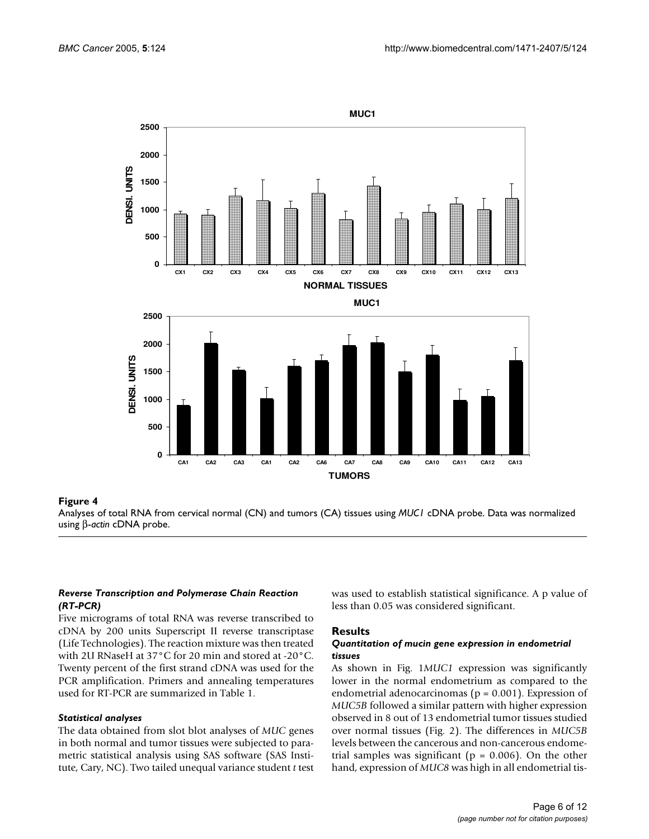

#### Analyses of total RNA from cervical norm **Figure 4** al (CN) and tumors (CA) tissues using *MUC1* cDNA probe

Analyses of total RNA from cervical normal (CN) and tumors (CA) tissues using *MUC1* cDNA probe. Data was normalized using β-*actin* cDNA probe.

# *Reverse Transcription and Polymerase Chain Reaction (RT-PCR)*

**0**

**500**

Five micrograms of total RNA was reverse transcribed to cDNA by 200 units Superscript II reverse transcriptase (Life Technologies). The reaction mixture was then treated with 2U RNaseH at 37°C for 20 min and stored at -20°C. Twenty percent of the first strand cDNA was used for the PCR amplification. Primers and annealing temperatures used for RT-PCR are summarized in Table 1.

#### *Statistical analyses*

The data obtained from slot blot analyses of *MUC* genes in both normal and tumor tissues were subjected to parametric statistical analysis using SAS software (SAS Institute, Cary, NC). Two tailed unequal variance student *t* test

was used to establish statistical significance. A p value of less than 0.05 was considered significant.

#### **Results**

**CA1 CA2 CA3 CA1 CA2 CA6 CA7 CA8 CA9 CA10 CA11 CA12 CA13 TUMORS**

#### *Quantitation of mucin gene expression in endometrial tissues*

As shown in Fig. 1*MUC1* expression was significantly lower in the normal endometrium as compared to the endometrial adenocarcinomas ( $p = 0.001$ ). Expression of *MUC5B* followed a similar pattern with higher expression observed in 8 out of 13 endometrial tumor tissues studied over normal tissues (Fig. 2). The differences in *MUC5B* levels between the cancerous and non-cancerous endometrial samples was significant ( $p = 0.006$ ). On the other hand, expression of *MUC8* was high in all endometrial tis-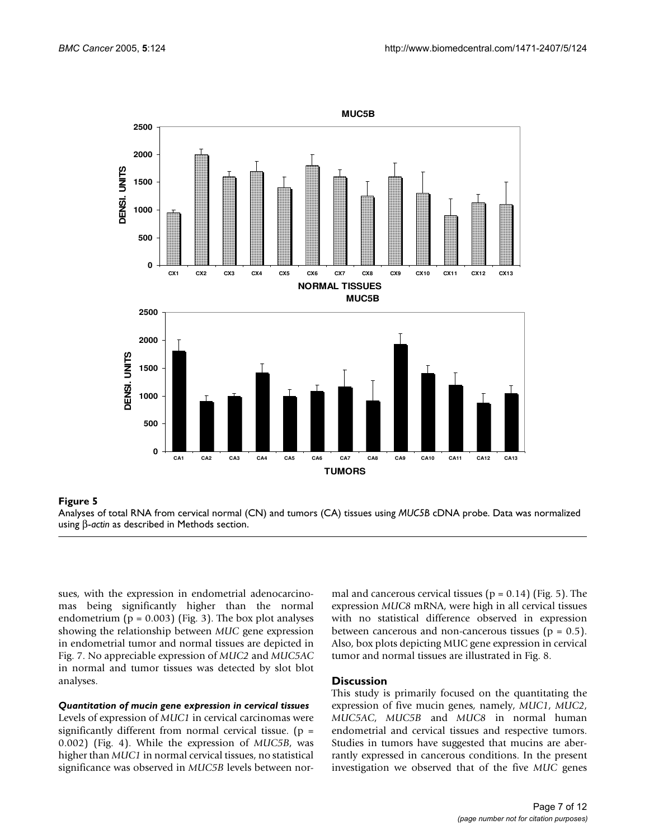

Analyses of total RNA from cervical normal (CN) and tumors (CA) tissues using *MUC5B* cDNA probe. Data was normalized using β-*actin* as described in Methods section.

sues, with the expression in endometrial adenocarcinomas being significantly higher than the normal endometrium ( $p = 0.003$ ) (Fig. 3). The box plot analyses showing the relationship between *MUC* gene expression in endometrial tumor and normal tissues are depicted in Fig. 7. No appreciable expression of *MUC2* and *MUC5AC* in normal and tumor tissues was detected by slot blot analyses.

# *Quantitation of mucin gene expression in cervical tissues*

Levels of expression of *MUC1* in cervical carcinomas were significantly different from normal cervical tissue. ( $p =$ 0.002) (Fig. 4). While the expression of *MUC5B*, was higher than *MUC1* in normal cervical tissues, no statistical significance was observed in *MUC5B* levels between normal and cancerous cervical tissues ( $p = 0.14$ ) (Fig. 5). The expression *MUC8* mRNA, were high in all cervical tissues with no statistical difference observed in expression between cancerous and non-cancerous tissues ( $p = 0.5$ ). Also, box plots depicting MUC gene expression in cervical tumor and normal tissues are illustrated in Fig. [8](#page-9-0).

#### **Discussion**

This study is primarily focused on the quantitating the expression of five mucin genes, namely, *MUC1*, *MUC2*, *MUC5AC*, *MUC5B* and *MUC8* in normal human endometrial and cervical tissues and respective tumors. Studies in tumors have suggested that mucins are aberrantly expressed in cancerous conditions. In the present investigation we observed that of the five *MUC* genes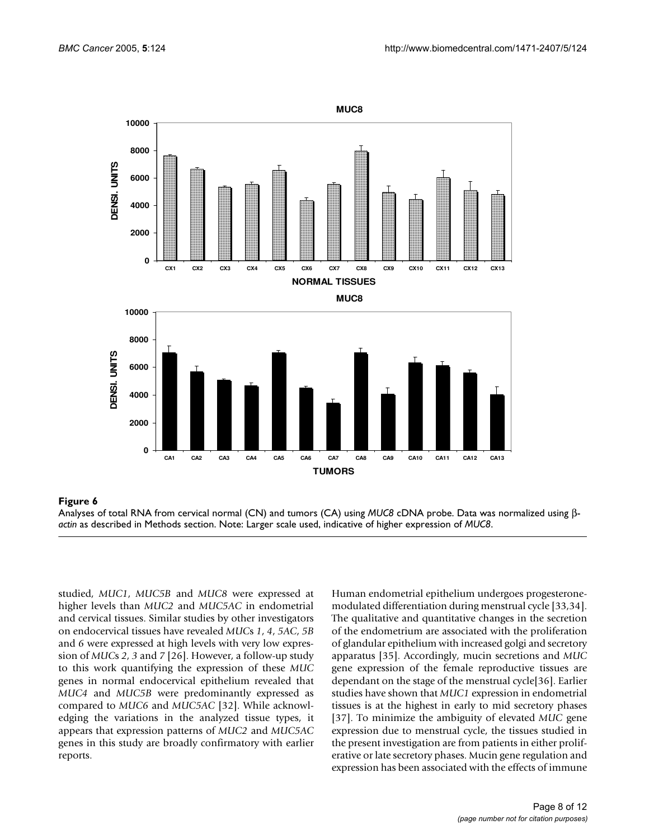

#### Analyses of total RNA from cervical **Figure 6** normal (CN) and tumors (CA) using *MUC8* cDNA probe

**0**

**2000**

**4000**

**6000**

Analyses of total RNA from cervical normal (CN) and tumors (CA) using *MUC8* cDNA probe. Data was normalized using β*actin* as described in Methods section. Note: Larger scale used, indicative of higher expression of *MUC8*.

**CA1 CA2 CA3 CA4 CA5 CA6 CA7 CA8 CA9 CA10 CA11 CA12 CA13 TUMORS**

studied, *MUC1*, *MUC5B* and *MUC8* were expressed at higher levels than *MUC2* and *MUC5AC* in endometrial and cervical tissues. Similar studies by other investigators on endocervical tissues have revealed *MUC*s *1*, *4*, *5AC*, *5B* and *6* were expressed at high levels with very low expression of *MUC*s *2*, *3* and *7* [26]. However, a follow-up study to this work quantifying the expression of these *MUC* genes in normal endocervical epithelium revealed that *MUC4* and *MUC5B* were predominantly expressed as compared to *MUC6* and *MUC5AC* [32]. While acknowledging the variations in the analyzed tissue types, it appears that expression patterns of *MUC2* and *MUC5AC* genes in this study are broadly confirmatory with earlier reports.

Human endometrial epithelium undergoes progesteronemodulated differentiation during menstrual cycle [33,34]. The qualitative and quantitative changes in the secretion of the endometrium are associated with the proliferation of glandular epithelium with increased golgi and secretory apparatus [35]. Accordingly, mucin secretions and *MUC* gene expression of the female reproductive tissues are dependant on the stage of the menstrual cycle[36]. Earlier studies have shown that *MUC1* expression in endometrial tissues is at the highest in early to mid secretory phases [37]. To minimize the ambiguity of elevated *MUC* gene expression due to menstrual cycle, the tissues studied in the present investigation are from patients in either proliferative or late secretory phases. Mucin gene regulation and expression has been associated with the effects of immune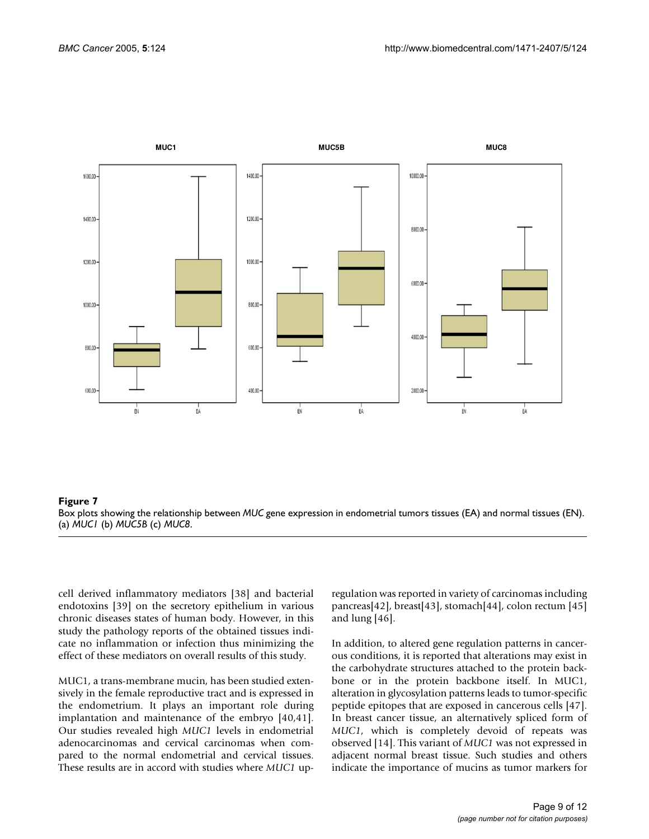

### Box plots showing the relationship between **Figure 7** *MUC* gene expression in endometrial tumors tissues (EA) and normal tissues (EN) Box plots showing the relationship between *MUC* gene expression in endometrial tumors tissues (EA) and normal tissues (EN). (a) *MUC1* (b) *MUC5B* (c) *MUC8*.

cell derived inflammatory mediators [38] and bacterial endotoxins [39] on the secretory epithelium in various chronic diseases states of human body. However, in this study the pathology reports of the obtained tissues indicate no inflammation or infection thus minimizing the effect of these mediators on overall results of this study.

MUC1, a trans-membrane mucin, has been studied extensively in the female reproductive tract and is expressed in the endometrium. It plays an important role during implantation and maintenance of the embryo [40,41]. Our studies revealed high *MUC1* levels in endometrial adenocarcinomas and cervical carcinomas when compared to the normal endometrial and cervical tissues. These results are in accord with studies where *MUC1* upregulation was reported in variety of carcinomas including pancreas[42], breast[43], stomach[44], colon rectum [45] and lung [46].

In addition, to altered gene regulation patterns in cancerous conditions, it is reported that alterations may exist in the carbohydrate structures attached to the protein backbone or in the protein backbone itself. In MUC1, alteration in glycosylation patterns leads to tumor-specific peptide epitopes that are exposed in cancerous cells [47]. In breast cancer tissue, an alternatively spliced form of *MUC1*, which is completely devoid of repeats was observed [14]. This variant of *MUC1* was not expressed in adjacent normal breast tissue. Such studies and others indicate the importance of mucins as tumor markers for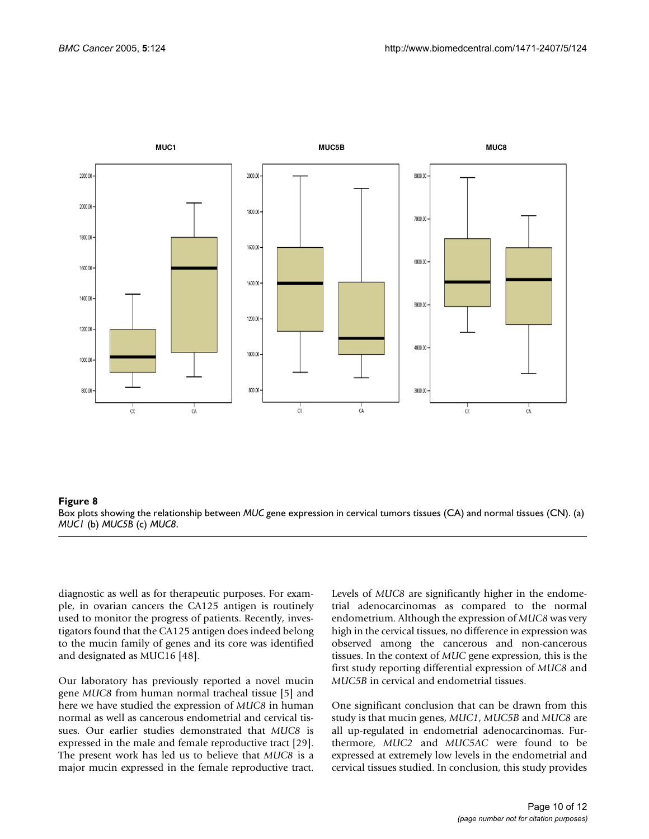<span id="page-9-0"></span>

#### **Figure 8** Box plots showing the relationship between *MUC* gene expression in cervical tumors tissues (CA) and normal tissues (CN)

Box plots showing the relationship between *MUC* gene expression in cervical tumors tissues (CA) and normal tissues (CN). (a) *MUC1* (b) *MUC5B* (c) *MUC8*.

diagnostic as well as for therapeutic purposes. For example, in ovarian cancers the CA125 antigen is routinely used to monitor the progress of patients. Recently, investigators found that the CA125 antigen does indeed belong to the mucin family of genes and its core was identified and designated as MUC16 [48].

Our laboratory has previously reported a novel mucin gene *MUC8* from human normal tracheal tissue [5] and here we have studied the expression of *MUC8* in human normal as well as cancerous endometrial and cervical tissues. Our earlier studies demonstrated that *MUC8* is expressed in the male and female reproductive tract [29]. The present work has led us to believe that *MUC8* is a major mucin expressed in the female reproductive tract.

Levels of *MUC8* are significantly higher in the endometrial adenocarcinomas as compared to the normal endometrium. Although the expression of *MUC8* was very high in the cervical tissues, no difference in expression was observed among the cancerous and non-cancerous tissues. In the context of *MUC* gene expression, this is the first study reporting differential expression of *MUC8* and *MUC5B* in cervical and endometrial tissues.

One significant conclusion that can be drawn from this study is that mucin genes, *MUC1*, *MUC5B* and *MUC8* are all up-regulated in endometrial adenocarcinomas. Furthermore, *MUC2* and *MUC5AC* were found to be expressed at extremely low levels in the endometrial and cervical tissues studied. In conclusion, this study provides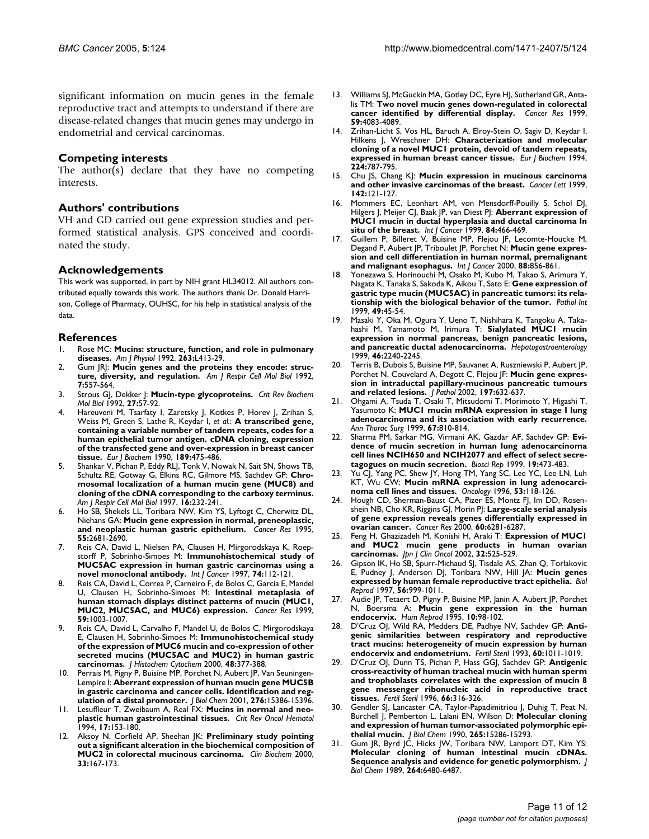significant information on mucin genes in the female reproductive tract and attempts to understand if there are disease-related changes that mucin genes may undergo in endometrial and cervical carcinomas.

# **Competing interests**

The author(s) declare that they have no competing interests.

# **Authors' contributions**

VH and GD carried out gene expression studies and performed statistical analysis. GPS conceived and coordinated the study.

# **Acknowledgements**

This work was supported, in part by NIH grant HL34012. All authors contributed equally towards this work. The authors thank Dr. Donald Harrison, College of Pharmacy, OUHSC, for his help in statistical analysis of the data.

# **References**

- 1. Rose MC: **[Mucins: structure, function, and role in pulmonary](http://www.ncbi.nlm.nih.gov/entrez/query.fcgi?cmd=Retrieve&db=PubMed&dopt=Abstract&list_uids=1415719) [diseases.](http://www.ncbi.nlm.nih.gov/entrez/query.fcgi?cmd=Retrieve&db=PubMed&dopt=Abstract&list_uids=1415719)** *Am J Physiol* 1992, **263:**L413-29.
- Gum JRJ: [Mucin genes and the proteins they encode: struc](http://www.ncbi.nlm.nih.gov/entrez/query.fcgi?cmd=Retrieve&db=PubMed&dopt=Abstract&list_uids=1449803)**[ture, diversity, and regulation.](http://www.ncbi.nlm.nih.gov/entrez/query.fcgi?cmd=Retrieve&db=PubMed&dopt=Abstract&list_uids=1449803)** *Am J Respir Cell Mol Biol* 1992, **7:**557-564.
- 3. Strous GJ, Dekker J: **[Mucin-type glycoproteins.](http://www.ncbi.nlm.nih.gov/entrez/query.fcgi?cmd=Retrieve&db=PubMed&dopt=Abstract&list_uids=1727693)** *Crit Rev Biochem Mol Biol* 1992, **27:**57-92.
- 4. Hareuveni M, Tsarfaty I, Zaretsky J, Kotkes P, Horev J, Zrihan S, Weiss M, Green S, Lathe R, Keydar I, *et al.*: **[A transcribed gene,](http://www.ncbi.nlm.nih.gov/entrez/query.fcgi?cmd=Retrieve&db=PubMed&dopt=Abstract&list_uids=2112460) containing a variable number of tandem repeats, codes for a [human epithelial tumor antigen. cDNA cloning, expression](http://www.ncbi.nlm.nih.gov/entrez/query.fcgi?cmd=Retrieve&db=PubMed&dopt=Abstract&list_uids=2112460) of the transfected gene and over-expression in breast cancer [tissue.](http://www.ncbi.nlm.nih.gov/entrez/query.fcgi?cmd=Retrieve&db=PubMed&dopt=Abstract&list_uids=2112460)** *Eur J Biochem* 1990, **189:**475-486.
- 5. Shankar V, Pichan P, Eddy RLJ, Tonk V, Nowak N, Sait SN, Shows TB, Schultz RE, Gotway G, Elkins RC, Gilmore MS, Sachdev GP: **[Chro](http://www.ncbi.nlm.nih.gov/entrez/query.fcgi?cmd=Retrieve&db=PubMed&dopt=Abstract&list_uids=9070607)mosomal localization of a human mucin gene (MUC8) and [cloning of the cDNA corresponding to the carboxy terminus.](http://www.ncbi.nlm.nih.gov/entrez/query.fcgi?cmd=Retrieve&db=PubMed&dopt=Abstract&list_uids=9070607)** *Am J Respir Cell Mol Biol* 1997, **16:**232-241.
- Ho SB, Shekels LL, Toribara NW, Kim YS, Lyftogt C, Cherwitz DL, Niehans GA: **[Mucin gene expression in normal, preneoplastic,](http://www.ncbi.nlm.nih.gov/entrez/query.fcgi?cmd=Retrieve&db=PubMed&dopt=Abstract&list_uids=7780985) [and neoplastic human gastric epithelium.](http://www.ncbi.nlm.nih.gov/entrez/query.fcgi?cmd=Retrieve&db=PubMed&dopt=Abstract&list_uids=7780985)** *Cancer Res* 1995, **55:**2681-2690.
- 7. Reis CA, David L, Nielsen PA, Clausen H, Mirgorodskaya K, Roepstorff P, Sobrinho-Simoes M: **[Immunohistochemical study of](http://www.ncbi.nlm.nih.gov/entrez/query.fcgi?cmd=Retrieve&db=PubMed&dopt=Abstract&list_uids=9036879) [MUC5AC expression in human gastric carcinomas using a](http://www.ncbi.nlm.nih.gov/entrez/query.fcgi?cmd=Retrieve&db=PubMed&dopt=Abstract&list_uids=9036879) [novel monoclonal antibody.](http://www.ncbi.nlm.nih.gov/entrez/query.fcgi?cmd=Retrieve&db=PubMed&dopt=Abstract&list_uids=9036879)** *Int J Cancer* 1997, **74:**112-121.
- 8. Reis CA, David L, Correa P, Carneiro F, de Bolos C, Garcia E, Mandel U, Clausen H, Sobrinho-Simoes M: **[Intestinal metaplasia of](http://www.ncbi.nlm.nih.gov/entrez/query.fcgi?cmd=Retrieve&db=PubMed&dopt=Abstract&list_uids=10070955) [human stomach displays distinct patterns of mucin \(MUC1,](http://www.ncbi.nlm.nih.gov/entrez/query.fcgi?cmd=Retrieve&db=PubMed&dopt=Abstract&list_uids=10070955) [MUC2, MUC5AC, and MUC6\) expression.](http://www.ncbi.nlm.nih.gov/entrez/query.fcgi?cmd=Retrieve&db=PubMed&dopt=Abstract&list_uids=10070955)** *Cancer Res* 1999, **59:**1003-1007.
- 9. Reis CA, David L, Carvalho F, Mandel U, de Bolos C, Mirgorodskaya E, Clausen H, Sobrinho-Simoes M: **[Immunohistochemical study](http://www.ncbi.nlm.nih.gov/entrez/query.fcgi?cmd=Retrieve&db=PubMed&dopt=Abstract&list_uids=10681391) of the expression of MUC6 mucin and co-expression of other [secreted mucins \(MUC5AC and MUC2\) in human gastric](http://www.ncbi.nlm.nih.gov/entrez/query.fcgi?cmd=Retrieve&db=PubMed&dopt=Abstract&list_uids=10681391) [carcinomas.](http://www.ncbi.nlm.nih.gov/entrez/query.fcgi?cmd=Retrieve&db=PubMed&dopt=Abstract&list_uids=10681391)** *J Histochem Cytochem* 2000, **48:**377-388.
- 10. Perrais M, Pigny P, Buisine MP, Porchet N, Aubert JP, Van Seuningen-Lempire I: **[Aberrant expression of human mucin gene MUC5B](http://www.ncbi.nlm.nih.gov/entrez/query.fcgi?cmd=Retrieve&db=PubMed&dopt=Abstract&list_uids=11278696) [in gastric carcinoma and cancer cells. Identification and reg](http://www.ncbi.nlm.nih.gov/entrez/query.fcgi?cmd=Retrieve&db=PubMed&dopt=Abstract&list_uids=11278696)[ulation of a distal promoter.](http://www.ncbi.nlm.nih.gov/entrez/query.fcgi?cmd=Retrieve&db=PubMed&dopt=Abstract&list_uids=11278696)** *J Biol Chem* 2001, **276:**15386-15396.
- 11. Lesuffleur T, Zweibaum A, Real FX: **[Mucins in normal and neo](http://www.ncbi.nlm.nih.gov/entrez/query.fcgi?cmd=Retrieve&db=PubMed&dopt=Abstract&list_uids=7865137)[plastic human gastrointestinal tissues.](http://www.ncbi.nlm.nih.gov/entrez/query.fcgi?cmd=Retrieve&db=PubMed&dopt=Abstract&list_uids=7865137)** *Crit Rev Oncol Hematol* 1994, **17:**153-180.
- 12. Aksoy N, Corfield AP, Sheehan JK: **[Preliminary study pointing](http://www.ncbi.nlm.nih.gov/entrez/query.fcgi?cmd=Retrieve&db=PubMed&dopt=Abstract&list_uids=10913513) [out a significant alteration in the biochemical composition of](http://www.ncbi.nlm.nih.gov/entrez/query.fcgi?cmd=Retrieve&db=PubMed&dopt=Abstract&list_uids=10913513) [MUC2 in colorectal mucinous carcinoma.](http://www.ncbi.nlm.nih.gov/entrez/query.fcgi?cmd=Retrieve&db=PubMed&dopt=Abstract&list_uids=10913513)** *Clin Biochem* 2000, **33:**167-173.
- 13. Williams SJ, McGuckin MA, Gotley DC, Eyre HJ, Sutherland GR, Antalis TM: **[Two novel mucin genes down-regulated in colorectal](http://www.ncbi.nlm.nih.gov/entrez/query.fcgi?cmd=Retrieve&db=PubMed&dopt=Abstract&list_uids=10463611) [cancer identified by differential display.](http://www.ncbi.nlm.nih.gov/entrez/query.fcgi?cmd=Retrieve&db=PubMed&dopt=Abstract&list_uids=10463611)** *Cancer Res* 1999, **59:**4083-4089.
- 14. Zrihan-Licht S, Vos HL, Baruch A, Elroy-Stein O, Sagiv D, Keydar I, Hilkens J, Wreschner DH: **[Characterization and molecular](http://www.ncbi.nlm.nih.gov/entrez/query.fcgi?cmd=Retrieve&db=PubMed&dopt=Abstract&list_uids=7925397) [cloning of a novel MUC1 protein, devoid of tandem repeats,](http://www.ncbi.nlm.nih.gov/entrez/query.fcgi?cmd=Retrieve&db=PubMed&dopt=Abstract&list_uids=7925397) [expressed in human breast cancer tissue.](http://www.ncbi.nlm.nih.gov/entrez/query.fcgi?cmd=Retrieve&db=PubMed&dopt=Abstract&list_uids=7925397)** *Eur J Biochem* 1994, **224:**787-795.
- 15. Chu JS, Chang KJ: **[Mucin expression in mucinous carcinoma](http://www.ncbi.nlm.nih.gov/entrez/query.fcgi?cmd=Retrieve&db=PubMed&dopt=Abstract&list_uids=10424790) [and other invasive carcinomas of the breast.](http://www.ncbi.nlm.nih.gov/entrez/query.fcgi?cmd=Retrieve&db=PubMed&dopt=Abstract&list_uids=10424790)** *Cancer Lett* 1999, **142:**121-127.
- 16. Mommers EC, Leonhart AM, von Mensdorff-Pouilly S, Schol DJ, Hilgers J, Meijer CJ, Baak JP, van Diest PJ: [Aberrant expression of](http://www.ncbi.nlm.nih.gov/entrez/query.fcgi?cmd=Retrieve&db=PubMed&dopt=Abstract&list_uids=10502721) **[MUC1 mucin in ductal hyperplasia and ductal carcinoma In](http://www.ncbi.nlm.nih.gov/entrez/query.fcgi?cmd=Retrieve&db=PubMed&dopt=Abstract&list_uids=10502721) [situ of the breast.](http://www.ncbi.nlm.nih.gov/entrez/query.fcgi?cmd=Retrieve&db=PubMed&dopt=Abstract&list_uids=10502721)** *Int J Cancer* 1999, **84:**466-469.
- 17. Guillem P, Billeret V, Buisine MP, Flejou JF, Lecomte-Houcke M, Degand P, Aubert JP, Triboulet JP, Porchet N: **[Mucin gene expres](http://www.ncbi.nlm.nih.gov/entrez/query.fcgi?cmd=Retrieve&db=PubMed&dopt=Abstract&list_uids=11093805)[sion and cell differentiation in human normal, premalignant](http://www.ncbi.nlm.nih.gov/entrez/query.fcgi?cmd=Retrieve&db=PubMed&dopt=Abstract&list_uids=11093805) [and malignant esophagus.](http://www.ncbi.nlm.nih.gov/entrez/query.fcgi?cmd=Retrieve&db=PubMed&dopt=Abstract&list_uids=11093805)** *Int J Cancer* 2000, **88:**856-861.
- Yonezawa S, Horinouchi M, Osako M, Kubo M, Takao S, Arimura Y, Nagata K, Tanaka S, Sakoda K, Aikou T, Sato E: **[Gene expression of](http://www.ncbi.nlm.nih.gov/entrez/query.fcgi?cmd=Retrieve&db=PubMed&dopt=Abstract&list_uids=10227724) [gastric type mucin \(MUC5AC\) in pancreatic tumors: its rela](http://www.ncbi.nlm.nih.gov/entrez/query.fcgi?cmd=Retrieve&db=PubMed&dopt=Abstract&list_uids=10227724)[tionship with the biological behavior of the tumor.](http://www.ncbi.nlm.nih.gov/entrez/query.fcgi?cmd=Retrieve&db=PubMed&dopt=Abstract&list_uids=10227724)** *Pathol Int* 1999, **49:**45-54.
- 19. Masaki Y, Oka M, Ogura Y, Ueno T, Nishihara K, Tangoku A, Takahashi M, Yamamoto M, Irimura T: **[Sialylated MUC1 mucin](http://www.ncbi.nlm.nih.gov/entrez/query.fcgi?cmd=Retrieve&db=PubMed&dopt=Abstract&list_uids=10521973) [expression in normal pancreas, benign pancreatic lesions,](http://www.ncbi.nlm.nih.gov/entrez/query.fcgi?cmd=Retrieve&db=PubMed&dopt=Abstract&list_uids=10521973) [and pancreatic ductal adenocarcinoma.](http://www.ncbi.nlm.nih.gov/entrez/query.fcgi?cmd=Retrieve&db=PubMed&dopt=Abstract&list_uids=10521973)** *Hepatogastroenterology* 1999, **46:**2240-2245.
- 20. Terris B, Dubois S, Buisine MP, Sauvanet A, Ruszniewski P, Aubert JP, Porchet N, Couvelard A, Degott C, Flejou JF: **[Mucin gene expres](http://www.ncbi.nlm.nih.gov/entrez/query.fcgi?cmd=Retrieve&db=PubMed&dopt=Abstract&list_uids=12210083)[sion in intraductal papillary-mucinous pancreatic tumours](http://www.ncbi.nlm.nih.gov/entrez/query.fcgi?cmd=Retrieve&db=PubMed&dopt=Abstract&list_uids=12210083) [and related lesions.](http://www.ncbi.nlm.nih.gov/entrez/query.fcgi?cmd=Retrieve&db=PubMed&dopt=Abstract&list_uids=12210083)** *J Pathol* 2002, **197:**632-637.
- 21. Ohgami A, Tsuda T, Osaki T, Mitsudomi T, Morimoto Y, Higashi T, Yasumoto K: **[MUC1 mucin mRNA expression in stage I lung](http://www.ncbi.nlm.nih.gov/entrez/query.fcgi?cmd=Retrieve&db=PubMed&dopt=Abstract&list_uids=10215233) [adenocarcinoma and its association with early recurrence.](http://www.ncbi.nlm.nih.gov/entrez/query.fcgi?cmd=Retrieve&db=PubMed&dopt=Abstract&list_uids=10215233)** *Ann Thorac Surg* 1999, **67:**810-814.
- 22. Sharma PM, Sarkar MG, Virmani AK, Gazdar AF, Sachdev GP: **[Evi](http://www.ncbi.nlm.nih.gov/entrez/query.fcgi?cmd=Retrieve&db=PubMed&dopt=Abstract&list_uids=10763814)dence of mucin secretion in human lung adenocarcinoma [cell lines NCIH650 and NCIH2077 and effect of select secre](http://www.ncbi.nlm.nih.gov/entrez/query.fcgi?cmd=Retrieve&db=PubMed&dopt=Abstract&list_uids=10763814)[tagogues on mucin secretion.](http://www.ncbi.nlm.nih.gov/entrez/query.fcgi?cmd=Retrieve&db=PubMed&dopt=Abstract&list_uids=10763814)** *Biosci Rep* 1999, **19:**473-483.
- 23. Yu CJ, Yang PC, Shew JY, Hong TM, Yang SC, Lee YC, Lee LN, Luh KT, Wu CW: **[Mucin mRNA expression in lung adenocarci](http://www.ncbi.nlm.nih.gov/entrez/query.fcgi?cmd=Retrieve&db=PubMed&dopt=Abstract&list_uids=8604237)[noma cell lines and tissues.](http://www.ncbi.nlm.nih.gov/entrez/query.fcgi?cmd=Retrieve&db=PubMed&dopt=Abstract&list_uids=8604237)** *Oncology* 1996, **53:**118-126.
- 24. Hough CD, Sherman-Baust CA, Pizer ES, Montz FJ, Im DD, Rosenshein NB, Cho KR, Riggins GJ, Morin PJ: **[Large-scale serial analysis](http://www.ncbi.nlm.nih.gov/entrez/query.fcgi?cmd=Retrieve&db=PubMed&dopt=Abstract&list_uids=11103784) [of gene expression reveals genes differentially expressed in](http://www.ncbi.nlm.nih.gov/entrez/query.fcgi?cmd=Retrieve&db=PubMed&dopt=Abstract&list_uids=11103784) [ovarian cancer.](http://www.ncbi.nlm.nih.gov/entrez/query.fcgi?cmd=Retrieve&db=PubMed&dopt=Abstract&list_uids=11103784)** *Cancer Res* 2000, **60:**6281-6287.
- 25. Feng H, Ghazizadeh M, Konishi H, Araki T: **[Expression of MUC1](http://www.ncbi.nlm.nih.gov/entrez/query.fcgi?cmd=Retrieve&db=PubMed&dopt=Abstract&list_uids=12578901) [and MUC2 mucin gene products in human ovarian](http://www.ncbi.nlm.nih.gov/entrez/query.fcgi?cmd=Retrieve&db=PubMed&dopt=Abstract&list_uids=12578901) [carcinomas.](http://www.ncbi.nlm.nih.gov/entrez/query.fcgi?cmd=Retrieve&db=PubMed&dopt=Abstract&list_uids=12578901)** *Jpn J Clin Oncol* 2002, **32:**525-529.
- 26. Gipson IK, Ho SB, Spurr-Michaud SJ, Tisdale AS, Zhan Q, Torlakovic E, Pudney J, Anderson DJ, Toribara NW, Hill JA: **[Mucin genes](http://www.ncbi.nlm.nih.gov/entrez/query.fcgi?cmd=Retrieve&db=PubMed&dopt=Abstract&list_uids=9096884) [expressed by human female reproductive tract epithelia.](http://www.ncbi.nlm.nih.gov/entrez/query.fcgi?cmd=Retrieve&db=PubMed&dopt=Abstract&list_uids=9096884)** *Biol Reprod* 1997, **56:**999-1011.
- 27. Audie JP, Tetaert D, Pigny P, Buisine MP, Janin A, Aubert JP, Porchet N, Boersma A: **[Mucin gene expression in the human](http://www.ncbi.nlm.nih.gov/entrez/query.fcgi?cmd=Retrieve&db=PubMed&dopt=Abstract&list_uids=7745080) [endocervix.](http://www.ncbi.nlm.nih.gov/entrez/query.fcgi?cmd=Retrieve&db=PubMed&dopt=Abstract&list_uids=7745080)** *Hum Reprod* 1995, **10:**98-102.
- 28. D'Cruz OJ, Wild RA, Medders DE, Padhye NV, Sachdev GP: **[Anti](http://www.ncbi.nlm.nih.gov/entrez/query.fcgi?cmd=Retrieve&db=PubMed&dopt=Abstract&list_uids=7694876)[genic similarities between respiratory and reproductive](http://www.ncbi.nlm.nih.gov/entrez/query.fcgi?cmd=Retrieve&db=PubMed&dopt=Abstract&list_uids=7694876) tract mucins: heterogeneity of mucin expression by human [endocervix and endometrium.](http://www.ncbi.nlm.nih.gov/entrez/query.fcgi?cmd=Retrieve&db=PubMed&dopt=Abstract&list_uids=7694876)** *Fertil Steril* 1993, **60:**1011-1019.
- 29. D'Cruz OJ, Dunn TS, Pichan P, Hass GGJ, Sachdev GP: **[Antigenic](http://www.ncbi.nlm.nih.gov/entrez/query.fcgi?cmd=Retrieve&db=PubMed&dopt=Abstract&list_uids=8690123) [cross-reactivity of human tracheal mucin with human sperm](http://www.ncbi.nlm.nih.gov/entrez/query.fcgi?cmd=Retrieve&db=PubMed&dopt=Abstract&list_uids=8690123) and trophoblasts correlates with the expression of mucin 8 gene messenger ribonucleic acid in reproductive tract [tissues.](http://www.ncbi.nlm.nih.gov/entrez/query.fcgi?cmd=Retrieve&db=PubMed&dopt=Abstract&list_uids=8690123)** *Fertil Steril* 1996, **66:**316-326.
- Gendler SJ, Lancaster CA, Taylor-Papadimitriou J, Duhig T, Peat N, Burchell J, Pemberton L, Lalani EN, Wilson D: **[Molecular cloning](http://www.ncbi.nlm.nih.gov/entrez/query.fcgi?cmd=Retrieve&db=PubMed&dopt=Abstract&list_uids=1697589) [and expression of human tumor-associated polymorphic epi](http://www.ncbi.nlm.nih.gov/entrez/query.fcgi?cmd=Retrieve&db=PubMed&dopt=Abstract&list_uids=1697589)[thelial mucin.](http://www.ncbi.nlm.nih.gov/entrez/query.fcgi?cmd=Retrieve&db=PubMed&dopt=Abstract&list_uids=1697589)** *J Biol Chem* 1990, **265:**15286-15293.
- 31. Gum JR, Byrd JC, Hicks JW, Toribara NW, Lamport DT, Kim YS: **[Molecular cloning of human intestinal mucin cDNAs.](http://www.ncbi.nlm.nih.gov/entrez/query.fcgi?cmd=Retrieve&db=PubMed&dopt=Abstract&list_uids=2703501) [Sequence analysis and evidence for genetic polymorphism.](http://www.ncbi.nlm.nih.gov/entrez/query.fcgi?cmd=Retrieve&db=PubMed&dopt=Abstract&list_uids=2703501)** *J Biol Chem* 1989, **264:**6480-6487.